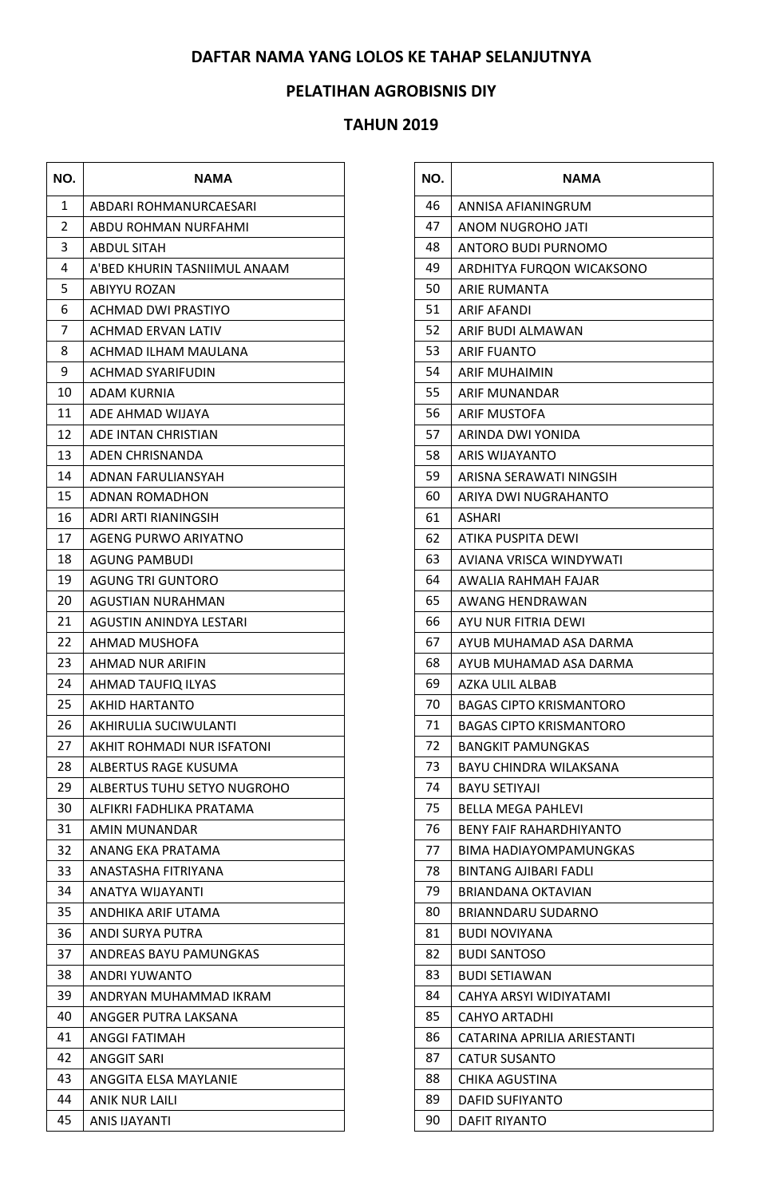## **DAFTAR NAMA YANG LOLOS KE TAHAP SELANJUTNYA**

## **PELATIHAN AGROBISNIS DIY**

## **TAHUN 2019**

<u> 1989 - Johann Barnett, fransk konge og det</u>

| NO. | <b>NAMA</b>                  |
|-----|------------------------------|
| 1   | ABDARI ROHMANURCAESARI       |
| 2   | ABDU ROHMAN NURFAHMI         |
| 3   | <b>ABDUL SITAH</b>           |
| 4   | A'BED KHURIN TASNIIMUL ANAAM |
| 5   | ABIYYU ROZAN                 |
| 6   | ACHMAD DWI PRASTIYO          |
| 7   | <b>ACHMAD ERVAN LATIV</b>    |
| 8   | ACHMAD ILHAM MAULANA         |
| 9   | <b>ACHMAD SYARIFUDIN</b>     |
| 10  | ADAM KURNIA                  |
| 11  | ADE AHMAD WIJAYA             |
| 12  | ADE INTAN CHRISTIAN          |
| 13  | ADEN CHRISNANDA              |
| 14  | ADNAN FARULIANSYAH           |
| 15  | ADNAN ROMADHON               |
| 16  | ADRI ARTI RIANINGSIH         |
| 17  | AGENG PURWO ARIYATNO         |
| 18  | AGUNG PAMBUDI                |
| 19  | AGUNG TRI GUNTORO            |
| 20  | AGUSTIAN NURAHMAN            |
| 21  | AGUSTIN ANINDYA LESTARI      |
| 22  | AHMAD MUSHOFA                |
| 23  | AHMAD NUR ARIFIN             |
| 24  | AHMAD TAUFIQ ILYAS           |
| 25  | AKHID HARTANTO               |
| 26  | AKHIRULIA SUCIWULANTI        |
| 27  | AKHIT ROHMADI NUR ISFATONI   |
| 28  | ALBERTUS RAGE KUSUMA         |
| 29  | ALBERTUS TUHU SETYO NUGROHO  |
| 30  | ALFIKRI FADHLIKA PRATAMA     |
| 31  | AMIN MUNANDAR                |
| 32  | ANANG EKA PRATAMA            |
| 33  | ANASTASHA FITRIYANA          |
| 34  | ANATYA WIJAYANTI             |
| 35  | ANDHIKA ARIF UTAMA           |
| 36  | ANDI SURYA PUTRA             |
| 37  | ANDREAS BAYU PAMUNGKAS       |
| 38  | ANDRI YUWANTO                |
| 39  | ANDRYAN MUHAMMAD IKRAM       |
| 40  | ANGGER PUTRA LAKSANA         |
| 41  | ANGGI FATIMAH                |
| 42  | ANGGIT SARI                  |
| 43  | ANGGITA ELSA MAYLANIE        |
| 44  | <b>ANIK NUR LAILI</b>        |
| 45  | ANIS IJAYANTI                |

 $\overline{\phantom{a}}$ 

| NO. | <b>NAMA</b>                    |
|-----|--------------------------------|
| 46  | ANNISA AFIANINGRUM             |
| 47  | ANOM NUGROHO JATI              |
| 48  | ANTORO BUDI PURNOMO            |
| 49  | ARDHITYA FURQON WICAKSONO      |
| 50  | ARIE RUMANTA                   |
| 51  | ARIF AFANDI                    |
| 52  | ARIF BUDI ALMAWAN              |
| 53  | ARIF FUANTO                    |
| 54  | <b>ARIF MUHAIMIN</b>           |
| 55  | ARIF MUNANDAR                  |
| 56  | <b>ARIF MUSTOFA</b>            |
| 57  | ARINDA DWI YONIDA              |
| 58  | <b>ARIS WIJAYANTO</b>          |
| 59  | ARISNA SERAWATI NINGSIH        |
| 60  | ARIYA DWI NUGRAHANTO           |
| 61  | ASHARI                         |
| 62  | ATIKA PUSPITA DEWI             |
| 63  | AVIANA VRISCA WINDYWATI        |
| 64  | AWALIA RAHMAH FAJAR            |
| 65  | AWANG HENDRAWAN                |
| 66  | AYU NUR FITRIA DEWI            |
| 67  | AYUB MUHAMAD ASA DARMA         |
| 68  | AYUB MUHAMAD ASA DARMA         |
| 69  | AZKA ULIL ALBAB                |
| 70  | <b>BAGAS CIPTO KRISMANTORO</b> |
| 71  | <b>BAGAS CIPTO KRISMANTORO</b> |
| 72  | <b>BANGKIT PAMUNGKAS</b>       |
| 73  | BAYU CHINDRA WILAKSANA         |
| 74  | BAYU SETIYAJI                  |
| 75  | BELLA MEGA PAHLEVI             |
| 76  | <b>BENY FAIF RAHARDHIYANTO</b> |
| 77  | BIMA HADIAYOMPAMUNGKAS         |
| 78  | BINTANG AJIBARI FADLI          |
| 79  | <b>BRIANDANA OKTAVIAN</b>      |
| 80  | BRIANNDARU SUDARNO             |
| 81  | BUDI NOVIYANA                  |
| 82  | <b>BUDI SANTOSO</b>            |
| 83  | <b>BUDI SETIAWAN</b>           |
| 84  | CAHYA ARSYI WIDIYATAMI         |
| 85  | CAHYO ARTADHI                  |
| 86  | CATARINA APRILIA ARIESTANTI    |
| 87  | CATUR SUSANTO                  |
| 88  | CHIKA AGUSTINA                 |
| 89  | DAFID SUFIYANTO                |
| 90  | DAFIT RIYANTO                  |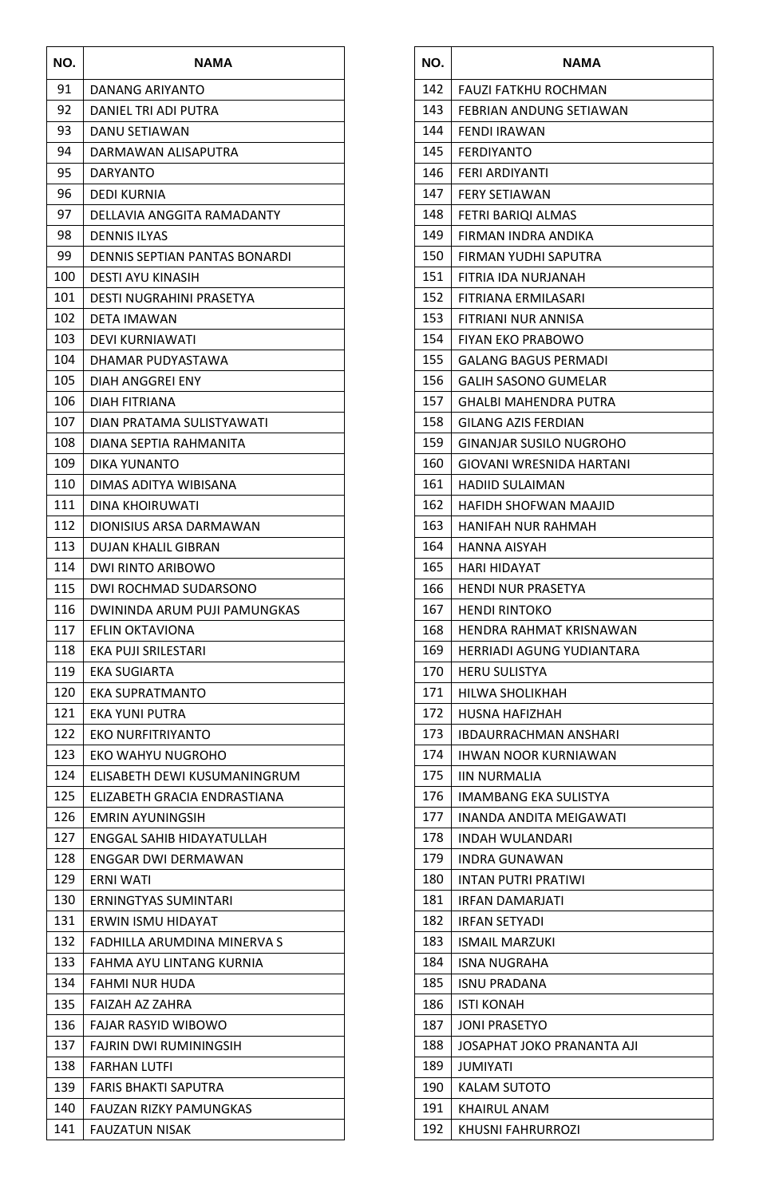| NO. | NAMA                          |
|-----|-------------------------------|
| 91  | DANANG ARIYANTO               |
| 92  | DANIEL TRI ADI PUTRA          |
| 93  | DANU SETIAWAN                 |
| 94  | DARMAWAN ALISAPUTRA           |
| 95  | DARYANTO                      |
| 96  | DEDI KURNIA                   |
| 97  | DELLAVIA ANGGITA RAMADANTY    |
| 98  | <b>DENNIS ILYAS</b>           |
| 99  | DENNIS SEPTIAN PANTAS BONARDI |
| 100 | DESTI AYU KINASIH             |
| 101 | DESTI NUGRAHINI PRASETYA      |
| 102 | <b>DETA IMAWAN</b>            |
| 103 | DEVI KURNIAWATI               |
| 104 | DHAMAR PUDYASTAWA             |
| 105 | DIAH ANGGREI ENY              |
| 106 | DIAH FITRIANA                 |
| 107 | DIAN PRATAMA SULISTYAWATI     |
| 108 | DIANA SEPTIA RAHMANITA        |
| 109 | DIKA YUNANTO                  |
| 110 | DIMAS ADITYA WIBISANA         |
| 111 | DINA KHOIRUWATI               |
| 112 | DIONISIUS ARSA DARMAWAN       |
| 113 | DUJAN KHALIL GIBRAN           |
| 114 | DWI RINTO ARIBOWO             |
| 115 | DWI ROCHMAD SUDARSONO         |
| 116 | DWININDA ARUM PUJI PAMUNGKAS  |
| 117 | EFLIN OKTAVIONA               |
| 118 | EKA PUJI SRILESTARI           |
| 119 | EKA SUGIARTA                  |
| 120 | <b>EKA SUPRATMANTO</b>        |
| 121 | EKA YUNI PUTRA                |
| 122 | <b>EKO NURFITRIYANTO</b>      |
| 123 | EKO WAHYU NUGROHO             |
| 124 | ELISABETH DEWI KUSUMANINGRUM  |
| 125 | ELIZABETH GRACIA ENDRASTIANA  |
| 126 | <b>EMRIN AYUNINGSIH</b>       |
| 127 | ENGGAL SAHIB HIDAYATULLAH     |
| 128 | ENGGAR DWI DERMAWAN           |
| 129 | ERNI WATI                     |
| 130 | ERNINGTYAS SUMINTARI          |
| 131 | ERWIN ISMU HIDAYAT            |
| 132 | FADHILLA ARUMDINA MINERVA S   |
| 133 | FAHMA AYU LINTANG KURNIA      |
| 134 | FAHMI NUR HUDA                |
| 135 | FAIZAH AZ ZAHRA               |
| 136 | <b>FAJAR RASYID WIBOWO</b>    |
| 137 | FAJRIN DWI RUMININGSIH        |
| 138 | <b>FARHAN LUTFI</b>           |
| 139 | <b>FARIS BHAKTI SAPUTRA</b>   |
| 140 | FAUZAN RIZKY PAMUNGKAS        |
| 141 | FAUZATUN NISAK                |

| NO.        | <b>NAMA</b>                             |
|------------|-----------------------------------------|
| 142        | FAUZI FATKHU ROCHMAN                    |
| 143        | FEBRIAN ANDUNG SETIAWAN                 |
| 144        | <b>FENDI IRAWAN</b>                     |
| 145        | FERDIYANTO                              |
| 146        | FERI ARDIYANTI                          |
| 147        | <b>FERY SETIAWAN</b>                    |
| 148        | FETRI BARIQI ALMAS                      |
| 149        | FIRMAN INDRA ANDIKA                     |
| 150        | FIRMAN YUDHI SAPUTRA                    |
| 151        | FITRIA IDA NURJANAH                     |
| 152        | FITRIANA ERMILASARI                     |
| 153        | FITRIANI NUR ANNISA                     |
| 154        | <b>FIYAN EKO PRABOWO</b>                |
| 155        | GALANG BAGUS PERMADI                    |
| 156        | <b>GALIH SASONO GUMELAR</b>             |
| 157        | <b>GHALBI MAHENDRA PUTRA</b>            |
| 158        | <b>GILANG AZIS FERDIAN</b>              |
| 159        | GINANJAR SUSILO NUGROHO                 |
| 160        | GIOVANI WRESNIDA HARTANI                |
| 161        | HADIID SULAIMAN                         |
| 162        | HAFIDH SHOFWAN MAAJID                   |
| 163        | HANIFAH NUR RAHMAH                      |
| 164        | HANNA AISYAH                            |
| 165        | <b>HARI HIDAYAT</b>                     |
| 166        | HENDI NUR PRASETYA                      |
| 167        | <b>HENDI RINTOKO</b>                    |
| 168        | HENDRA RAHMAT KRISNAWAN                 |
| 169        | <b>HERRIADI AGUNG YUDIANTARA</b>        |
| 170        | <b>HERU SULISTYA</b>                    |
| 171        | HILWA SHOLIKHAH                         |
| 172        | <b>HUSNA HAFIZHAH</b>                   |
| 173        | IBDAURRACHMAN ANSHARI                   |
| 174        | IHWAN NOOR KURNIAWAN                    |
| 175        | IIN NURMALIA                            |
| 176        | IMAMBANG EKA SULISTYA                   |
| 177        | INANDA ANDITA MEIGAWATI                 |
| 178        | INDAH WULANDARI                         |
| 179<br>180 | INDRA GUNAWAN                           |
| 181        | INTAN PUTRI PRATIWI                     |
| 182        | IRFAN DAMARJATI<br><b>IRFAN SETYADI</b> |
| 183        | <b>ISMAIL MARZUKI</b>                   |
| 184        | <b>ISNA NUGRAHA</b>                     |
| 185        | ISNU PRADANA                            |
| 186        | ISTI KONAH                              |
| 187        | <b>JONI PRASETYO</b>                    |
| 188        | JOSAPHAT JOKO PRANANTA AJI              |
| 189        | <b>JUMIYATI</b>                         |
| 190        | KALAM SUTOTO                            |
| 191        | <b>KHAIRUL ANAM</b>                     |
| 192        | KHUSNI FAHRURROZI                       |
|            |                                         |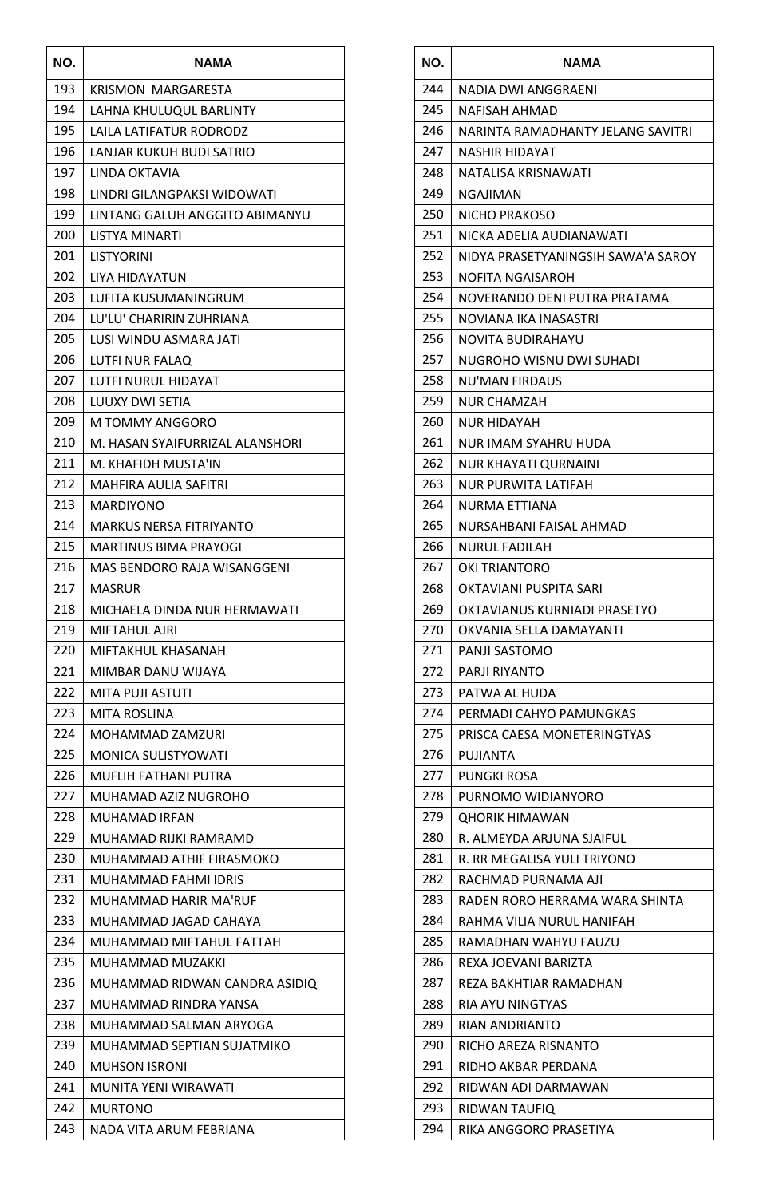| NO. | NAMA                            |
|-----|---------------------------------|
| 193 | <b>KRISMON MARGARESTA</b>       |
| 194 | LAHNA KHULUQUL BARLINTY         |
| 195 | LAILA LATIFATUR RODRODZ         |
| 196 | LANJAR KUKUH BUDI SATRIO        |
| 197 | LINDA OKTAVIA                   |
| 198 | LINDRI GILANGPAKSI WIDOWATI     |
| 199 | LINTANG GALUH ANGGITO ABIMANYU  |
| 200 | LISTYA MINARTI                  |
| 201 | LISTYORINI                      |
| 202 | LIYA HIDAYATUN                  |
| 203 | LUFITA KUSUMANINGRUM            |
| 204 | LU'LU' CHARIRIN ZUHRIANA        |
| 205 | LUSI WINDU ASMARA JATI          |
| 206 | LUTFI NUR FALAQ                 |
| 207 | LUTFI NURUL HIDAYAT             |
| 208 | LUUXY DWI SETIA                 |
| 209 | M TOMMY ANGGORO                 |
| 210 | M. HASAN SYAIFURRIZAL ALANSHORI |
| 211 | M. KHAFIDH MUSTA'IN             |
| 212 | MAHFIRA AULIA SAFITRI           |
| 213 | <b>MARDIYONO</b>                |
| 214 | MARKUS NERSA FITRIYANTO         |
| 215 | MARTINUS BIMA PRAYOGI           |
| 216 | MAS BENDORO RAJA WISANGGENI     |
| 217 | MASRUR                          |
| 218 | MICHAELA DINDA NUR HERMAWATI    |
| 219 | <b>MIFTAHUL AJRI</b>            |
| 220 | MIFTAKHUL KHASANAH              |
| 221 | MIMBAR DANU WIJAYA              |
| 222 | MITA PUJI ASTUTI                |
| 223 | <b>MITA ROSLINA</b>             |
| 224 | MOHAMMAD ZAMZURI                |
| 225 | MONICA SULISTYOWATI             |
| 226 | MUFLIH FATHANI PUTRA            |
| 227 | MUHAMAD AZIZ NUGROHO            |
| 228 | <b>MUHAMAD IRFAN</b>            |
| 229 | MUHAMAD RIJKI RAMRAMD           |
| 230 | MUHAMMAD ATHIF FIRASMOKO        |
| 231 | MUHAMMAD FAHMI IDRIS            |
| 232 | MUHAMMAD HARIR MA'RUF           |
| 233 | MUHAMMAD JAGAD CAHAYA           |
| 234 | MUHAMMAD MIFTAHUL FATTAH        |
| 235 | MUHAMMAD MUZAKKI                |
| 236 | MUHAMMAD RIDWAN CANDRA ASIDIQ   |
| 237 | MUHAMMAD RINDRA YANSA           |
| 238 | MUHAMMAD SALMAN ARYOGA          |
| 239 | MUHAMMAD SEPTIAN SUJATMIKO      |
| 240 | <b>MUHSON ISRONI</b>            |
| 241 | MUNITA YENI WIRAWATI            |
| 242 | <b>MURTONO</b>                  |
| 243 | NADA VITA ARUM FEBRIANA         |

| NO. | NAMA                               |
|-----|------------------------------------|
| 244 | NADIA DWI ANGGRAENI                |
| 245 | NAFISAH AHMAD                      |
| 246 | NARINTA RAMADHANTY JELANG SAVITRI  |
| 247 | NASHIR HIDAYAT                     |
| 248 | NATALISA KRISNAWATI                |
| 249 | NGAJIMAN                           |
| 250 | NICHO PRAKOSO                      |
| 251 | NICKA ADELIA AUDIANAWATI           |
| 252 | NIDYA PRASETYANINGSIH SAWA'A SAROY |
| 253 | NOFITA NGAISAROH                   |
| 254 | NOVERANDO DENI PUTRA PRATAMA       |
| 255 | NOVIANA IKA INASASTRI              |
| 256 | NOVITA BUDIRAHAYU                  |
| 257 | NUGROHO WISNU DWI SUHADI           |
| 258 | NU'MAN FIRDAUS                     |
| 259 | NUR CHAMZAH                        |
| 260 | NUR HIDAYAH                        |
| 261 | NUR IMAM SYAHRU HUDA               |
| 262 | <b>NUR KHAYATI QURNAINI</b>        |
| 263 | NUR PURWITA LATIFAH                |
| 264 | NURMA ETTIANA                      |
| 265 | NURSAHBANI FAISAL AHMAD            |
| 266 | NURUL FADILAH                      |
| 267 | OKI TRIANTORO                      |
| 268 | OKTAVIANI PUSPITA SARI             |
| 269 | OKTAVIANUS KURNIADI PRASETYO       |
| 270 | OKVANIA SELLA DAMAYANTI            |
| 271 | PANJI SASTOMO                      |
| 272 | PARJI RIYANTO                      |
| 273 | PATWA AL HUDA                      |
| 274 | PERMADI CAHYO PAMUNGKAS            |
| 275 | PRISCA CAESA MONETERINGTYAS        |
| 276 | PUJIANTA                           |
| 277 | PUNGKI ROSA                        |
| 278 | PURNOMO WIDIANYORO                 |
| 279 | <b>QHORIK HIMAWAN</b>              |
| 280 | R. ALMEYDA ARJUNA SJAIFUL          |
| 281 | R. RR MEGALISA YULI TRIYONO        |
| 282 | RACHMAD PURNAMA AJI                |
| 283 | RADEN RORO HERRAMA WARA SHINTA     |
| 284 | RAHMA VILIA NURUL HANIFAH          |
| 285 | RAMADHAN WAHYU FAUZU               |
| 286 | REXA JOEVANI BARIZTA               |
| 287 | REZA BAKHTIAR RAMADHAN             |
| 288 | <b>RIA AYU NINGTYAS</b>            |
| 289 | RIAN ANDRIANTO                     |
| 290 | RICHO AREZA RISNANTO               |
| 291 | RIDHO AKBAR PERDANA                |
| 292 | RIDWAN ADI DARMAWAN                |
| 293 | RIDWAN TAUFIQ                      |
| 294 | RIKA ANGGORO PRASETIYA             |